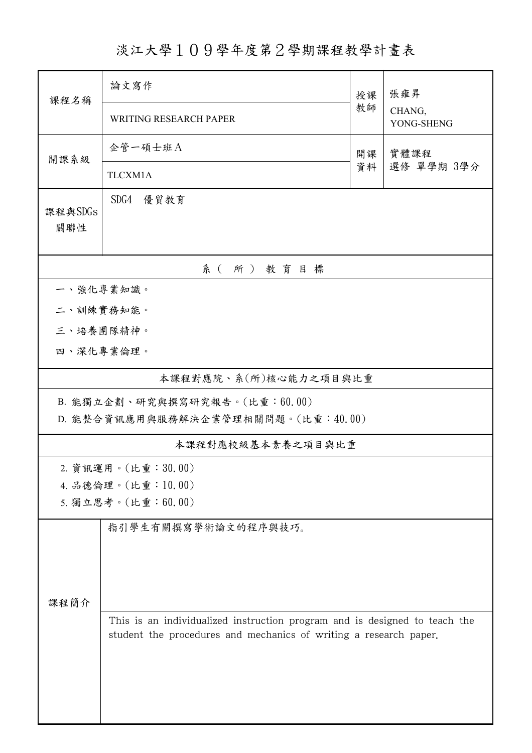淡江大學109學年度第2學期課程教學計畫表

| 課程名稱                                                                | 論文寫作                                                                                                                                            | 授課<br>教師 | 張雍昇<br>CHANG,<br>YONG-SHENG |  |  |  |  |  |  |
|---------------------------------------------------------------------|-------------------------------------------------------------------------------------------------------------------------------------------------|----------|-----------------------------|--|--|--|--|--|--|
|                                                                     | <b>WRITING RESEARCH PAPER</b>                                                                                                                   |          |                             |  |  |  |  |  |  |
| 開課系級                                                                | 企管一碩士班A                                                                                                                                         | 開課<br>資料 | 實體課程<br>選修 單學期 3學分          |  |  |  |  |  |  |
|                                                                     | TLCXM1A                                                                                                                                         |          |                             |  |  |  |  |  |  |
| 課程與SDGs<br>關聯性                                                      | SDG4<br>優質教育                                                                                                                                    |          |                             |  |  |  |  |  |  |
| 系(所)教育目標                                                            |                                                                                                                                                 |          |                             |  |  |  |  |  |  |
|                                                                     | 一、強化專業知識。                                                                                                                                       |          |                             |  |  |  |  |  |  |
|                                                                     | 二、訓練實務知能。                                                                                                                                       |          |                             |  |  |  |  |  |  |
| 三、培養團隊精神。                                                           |                                                                                                                                                 |          |                             |  |  |  |  |  |  |
| 四、深化專業倫理。                                                           |                                                                                                                                                 |          |                             |  |  |  |  |  |  |
| 本課程對應院、系(所)核心能力之項目與比重                                               |                                                                                                                                                 |          |                             |  |  |  |  |  |  |
| B. 能獨立企劃、研究與撰寫研究報告。(比重:60.00)<br>D. 能整合資訊應用與服務解決企業管理相關問題。(比重:40.00) |                                                                                                                                                 |          |                             |  |  |  |  |  |  |
|                                                                     | 本課程對應校級基本素養之項目與比重                                                                                                                               |          |                             |  |  |  |  |  |  |
|                                                                     | 2. 資訊運用。(比重:30.00)                                                                                                                              |          |                             |  |  |  |  |  |  |
|                                                                     | 4. 品德倫理。(比重:10.00)                                                                                                                              |          |                             |  |  |  |  |  |  |
|                                                                     | 5. 獨立思考。(比重:60.00)                                                                                                                              |          |                             |  |  |  |  |  |  |
|                                                                     | 指引學生有關撰寫學術論文的程序與技巧。                                                                                                                             |          |                             |  |  |  |  |  |  |
|                                                                     |                                                                                                                                                 |          |                             |  |  |  |  |  |  |
|                                                                     |                                                                                                                                                 |          |                             |  |  |  |  |  |  |
| 課程簡介                                                                |                                                                                                                                                 |          |                             |  |  |  |  |  |  |
|                                                                     | This is an individualized instruction program and is designed to teach the<br>student the procedures and mechanics of writing a research paper. |          |                             |  |  |  |  |  |  |
|                                                                     |                                                                                                                                                 |          |                             |  |  |  |  |  |  |
|                                                                     |                                                                                                                                                 |          |                             |  |  |  |  |  |  |
|                                                                     |                                                                                                                                                 |          |                             |  |  |  |  |  |  |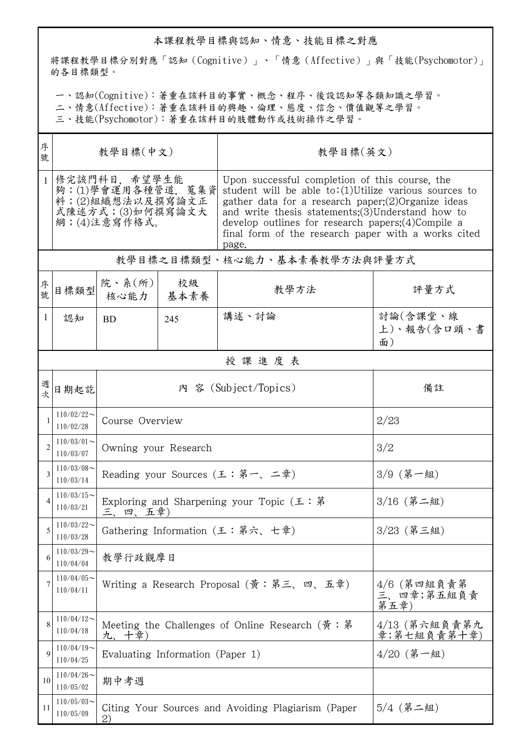## 本課程教學目標與認知、情意、技能目標之對應

將課程教學目標分別對應「認知(Cognitive)」、「情意(Affective)」與「技能(Psychomotor)」 的各目標類型。

一、認知(Cognitive):著重在該科目的事實、概念、程序、後設認知等各類知識之學習。

二、情意(Affective):著重在該科目的興趣、倫理、態度、信念、價值觀等之學習。

三、技能(Psychomotor):著重在該科目的肢體動作或技術操作之學習。

| 序<br>號         | 教學目標(中文)                                                                                  |                                                                         |                                                                         | 教學目標(英文)                                                                                                                                                                                                                                                                                                                                               |                               |  |  |  |  |
|----------------|-------------------------------------------------------------------------------------------|-------------------------------------------------------------------------|-------------------------------------------------------------------------|--------------------------------------------------------------------------------------------------------------------------------------------------------------------------------------------------------------------------------------------------------------------------------------------------------------------------------------------------------|-------------------------------|--|--|--|--|
| $\mathbf{1}$   | 修完該門科目,希望學生能<br>夠:(1)學會運用各種管道,蒐集資<br>料;(2)組織想法以及撰寫論文正<br>式陳述方式;(3)如何撰寫論文大<br>綱;(4)注意寫作格式。 |                                                                         |                                                                         | Upon successful completion of this course, the<br>student will be able to: $(1)$ Utilize various sources to<br>gather data for a research paper; $(2)$ Organize ideas<br>and write thesis statements; $(3)$ Understand how to<br>develop outlines for research papers; $(4)$ Compile a<br>final form of the research paper with a works cited<br>page. |                               |  |  |  |  |
|                | 教學目標之目標類型、核心能力、基本素養教學方法與評量方式                                                              |                                                                         |                                                                         |                                                                                                                                                                                                                                                                                                                                                        |                               |  |  |  |  |
| 序號             | 目標類型                                                                                      | 院、系 $(\text{m})$<br>核心能力                                                | 校級<br>基本素養                                                              | 教學方法                                                                                                                                                                                                                                                                                                                                                   | 評量方式                          |  |  |  |  |
| 1              | 認知                                                                                        | <b>BD</b>                                                               | 245                                                                     | 講述、討論                                                                                                                                                                                                                                                                                                                                                  | 討論(含課堂、線<br>上)、報告(含口頭、書<br>面) |  |  |  |  |
|                | 授課進度表                                                                                     |                                                                         |                                                                         |                                                                                                                                                                                                                                                                                                                                                        |                               |  |  |  |  |
| 週次             | 日期起訖                                                                                      |                                                                         |                                                                         | 內 容 (Subject/Topics)                                                                                                                                                                                                                                                                                                                                   | 備註                            |  |  |  |  |
|                | $110/02/22$ ~<br>110/02/28                                                                | Course Overview                                                         |                                                                         | 2/23                                                                                                                                                                                                                                                                                                                                                   |                               |  |  |  |  |
| $\overline{2}$ | $110/03/01$ ~<br>110/03/07                                                                | Owning your Research                                                    |                                                                         | 3/2                                                                                                                                                                                                                                                                                                                                                    |                               |  |  |  |  |
| 3              | $110/03/08$ ~<br>110/03/14                                                                |                                                                         | Reading your Sources (王:第一、二章)                                          | 3/9 (第一組)                                                                                                                                                                                                                                                                                                                                              |                               |  |  |  |  |
|                | $110/03/15$ ~<br>110/03/21                                                                | 三、四、五章)                                                                 | Exploring and Sharpening your Topic $(\pm : \tilde{\mathcal{F}})$       | $3/16$ (第二組)                                                                                                                                                                                                                                                                                                                                           |                               |  |  |  |  |
| 5              | $110/03/22$ ~<br>110/03/28                                                                |                                                                         | Gathering Information (王:第六、七章)                                         | 3/23 (第三組)                                                                                                                                                                                                                                                                                                                                             |                               |  |  |  |  |
| 6              | $110/03/29$ ~<br>110/04/04                                                                | 教學行政觀摩日                                                                 |                                                                         |                                                                                                                                                                                                                                                                                                                                                        |                               |  |  |  |  |
| 7              | $110/04/05$ ~<br>110/04/11                                                                |                                                                         | Writing a Research Proposal (黃:第三、四、五章)                                 | $4/6$ (第四組負責第<br>三、四章;第五組負責<br>第五章                                                                                                                                                                                                                                                                                                                     |                               |  |  |  |  |
| 8              | $110/04/12$ ~<br>110/04/18                                                                | 九、十章)                                                                   | Meeting the Challenges of Online Research $(\frac{2}{9} : \frac{2}{9})$ | 4/13 (第六組負責第九<br>章;第七組負責第十章)                                                                                                                                                                                                                                                                                                                           |                               |  |  |  |  |
| 9              | $110/04/19$ ~<br>110/04/25                                                                |                                                                         | Evaluating Information (Paper 1)                                        | 4/20 (第一組)                                                                                                                                                                                                                                                                                                                                             |                               |  |  |  |  |
| 10             | $110/04/26$ ~<br>110/05/02                                                                | 期中考週                                                                    |                                                                         |                                                                                                                                                                                                                                                                                                                                                        |                               |  |  |  |  |
| 11             | $110/05/03$ ~<br>110/05/09                                                                | $5/4$ (第二組)<br>Citing Your Sources and Avoiding Plagiarism (Paper<br>2) |                                                                         |                                                                                                                                                                                                                                                                                                                                                        |                               |  |  |  |  |